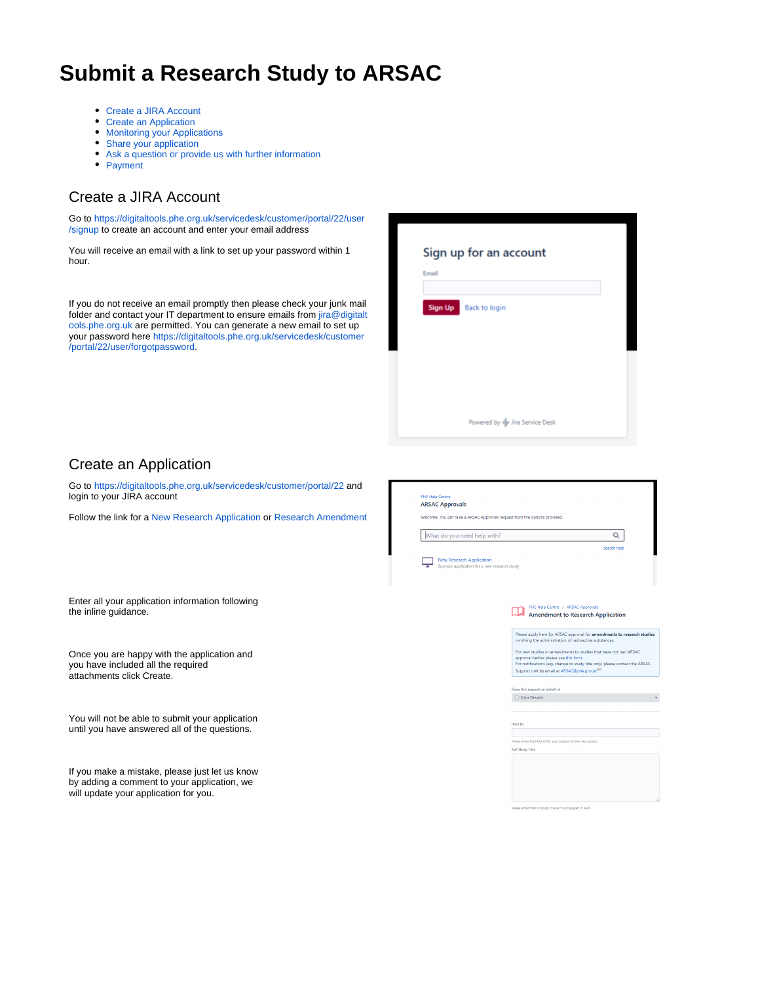# **Submit a Research Study to ARSAC**

- [Create a JIRA Account](#page-0-0)
- $\bullet$ [Create an Application](#page-0-1)
- [Monitoring your Applications](#page-1-0)
- [Share your application](#page-2-0)
- [Ask a question or provide us with further information](#page-2-1)
- [Payment](#page-3-0)

## <span id="page-0-0"></span>Create a JIRA Account

Go to [https://digitaltools.phe.org.uk/servicedesk/customer/portal/22/user](https://digitaltools.phe.org.uk/servicedesk/customer/portal/22/user/signup) [/signup](https://digitaltools.phe.org.uk/servicedesk/customer/portal/22/user/signup) to create an account and enter your email address You will receive an email with a link to set up your password within 1 Sign up for an account hour. Email If you do not receive an email promptly then please check your junk mail Sign Up Back to login folder and contact your IT department to ensure emails from [jira@digitalt](mailto:jira@digitaltools.phe.org.uk) [ools.phe.org.uk](mailto:jira@digitaltools.phe.org.uk) are permitted. You can generate a new email to set up your password here [https://digitaltools.phe.org.uk/servicedesk/customer](https://digitaltools.phe.org.uk/servicedesk/customer/portal/22/user/forgotpassword) [/portal/22/user/forgotpassword.](https://digitaltools.phe.org.uk/servicedesk/customer/portal/22/user/forgotpassword) Powered by Ar Jira Service Desk Create an Application Go to <https://digitaltools.phe.org.uk/servicedesk/customer/portal/22> and login to your JIRA account **ARSAC Approvals** Follow the link for a [New Research Application](https://digitaltools.phe.org.uk/servicedesk/customer/portal/22/create/228) or [Research Amendment](https://digitaltools.phe.org.uk/servicedesk/customer/portal/22/create/290) Welcomel You can raise a ARSAC Approvals request from the options provided What do you need help with?  $\alpha$ New Research Application<br>Sponsor application for a new research study Enter all your application information following PHE Help Centre / ARSAC App **PHE Help Centre / ARSAC Approvals**<br>**Amendment to Research Application** the inline guidance.

> Please apply here for ARSAC approval for **amendments to research studies**<br>involving the administration of radioactive substances. For new studies or amendments to studies that have not had ARSAC<br>approval before please use this form. approval before please use this form.<br>For notifications (e.g. change to study title only) please contact the ARSAC<br>Support unit by email at ARSAC@phe.gov.uk

Raise this request on behalf of  $\bigcirc$  Cara Devare

se enter the IRAS ID for your project on the new syst

Please enter the full study title as it is displayed in IRA!

**IRAS ID** 

-<br>Foll Study Title

<span id="page-0-1"></span>Once you are happy with the application and you have included all the required attachments click Create.

You will not be able to submit your application until you have answered all of the questions.

If you make a mistake, please just let us know by adding a comment to your application, we will update your application for you.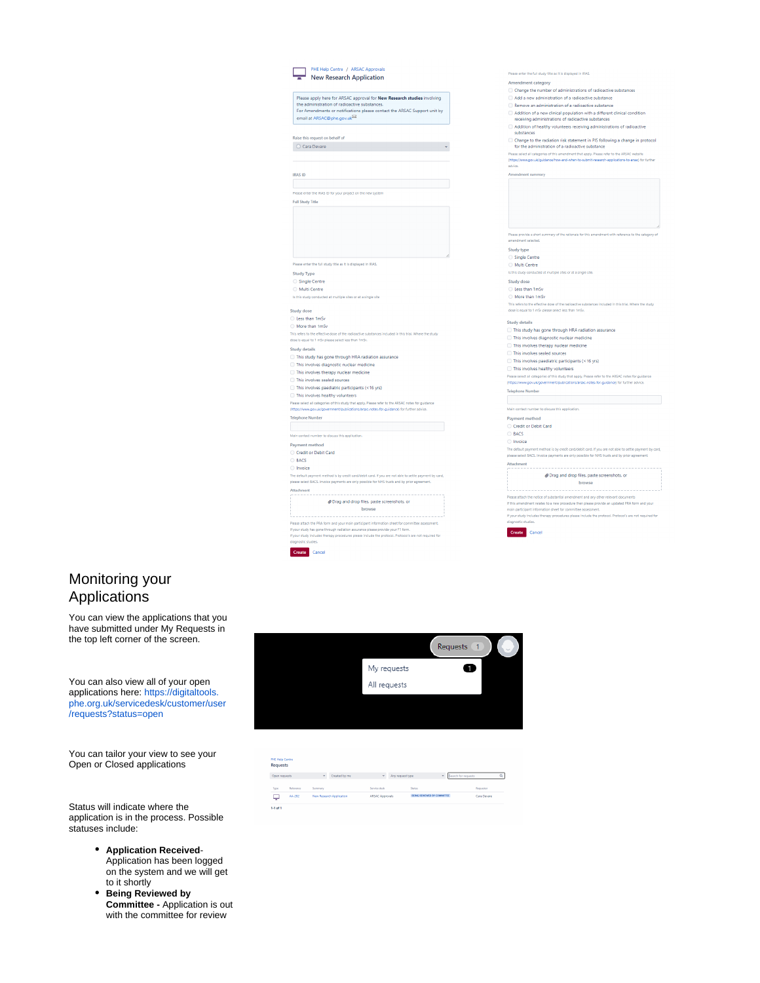|                                                                                     | PHE Help Centre / ARSAC Approvals<br><b>NE NEW SCIENCE</b><br>New Research Application                                   |
|-------------------------------------------------------------------------------------|--------------------------------------------------------------------------------------------------------------------------|
|                                                                                     |                                                                                                                          |
|                                                                                     | Please apply here for ARSAC approval for New Research studies involving<br>the administration of radioactive substances. |
|                                                                                     | For Amendments or notifications please contact the ARSAC Support unit by                                                 |
| email at ARSAC@phe.gov.uk                                                           |                                                                                                                          |
|                                                                                     |                                                                                                                          |
| Raise this request on behalf of                                                     |                                                                                                                          |
| C Cara Devare                                                                       |                                                                                                                          |
|                                                                                     |                                                                                                                          |
|                                                                                     |                                                                                                                          |
| <b>IRAS ID</b>                                                                      |                                                                                                                          |
|                                                                                     |                                                                                                                          |
| <b>Full Study Title</b>                                                             | Please enter the IRAS ID for your project on the new system                                                              |
|                                                                                     |                                                                                                                          |
|                                                                                     |                                                                                                                          |
|                                                                                     |                                                                                                                          |
|                                                                                     |                                                                                                                          |
|                                                                                     |                                                                                                                          |
|                                                                                     |                                                                                                                          |
|                                                                                     |                                                                                                                          |
|                                                                                     | Please enter the full study title as it is displayed in IRAS.                                                            |
| <b>Study Type</b>                                                                   |                                                                                                                          |
| Single Centre                                                                       |                                                                                                                          |
| Multi Centre                                                                        |                                                                                                                          |
|                                                                                     | Is this study conducted at multiple sites or at a single site                                                            |
| <b>Study dose</b>                                                                   |                                                                                                                          |
| Less than 1mSv                                                                      |                                                                                                                          |
| More than 1mSv                                                                      |                                                                                                                          |
|                                                                                     | This refers to the effective dose of the radioactive substances included in this trial. Where the study                  |
| dose is equal to 1 mSv please select less than 1mSv.                                |                                                                                                                          |
| <b>Study details</b>                                                                |                                                                                                                          |
|                                                                                     | This study has gone through HRA radiation assurance                                                                      |
| This involves diagnostic nuclear medicine<br>This involves therapy nuclear medicine |                                                                                                                          |
| This involves sealed sources                                                        |                                                                                                                          |
|                                                                                     | This involves paediatric participants (<16 yrs)                                                                          |
| This involves healthy volunteers                                                    |                                                                                                                          |
|                                                                                     | Please select all categories of this study that apply. Please refer to the ARSAC notes for guidance                      |
|                                                                                     | (https://www.gov.uk/government/publications/arsac-notes-for-guidance) for further advice.                                |
| <b>Telephone Number</b>                                                             |                                                                                                                          |
|                                                                                     |                                                                                                                          |
| Main contact number to discuss this application.                                    |                                                                                                                          |
| Payment method<br>Credit or Debit Card                                              |                                                                                                                          |
| <b>BACS</b>                                                                         |                                                                                                                          |
| <b>Invoice</b>                                                                      |                                                                                                                          |
|                                                                                     | The default payment method is by credit card/debit card. If you are not able to settle payment by card,                  |
|                                                                                     | please select BACS. Invoice payments are only possible for NHS trusts and by prior agreement.                            |
| <b>Attachment</b>                                                                   |                                                                                                                          |
|                                                                                     | @Drag and drop files, paste screenshots, or                                                                              |
|                                                                                     | browse                                                                                                                   |
|                                                                                     |                                                                                                                          |
|                                                                                     | Please attach the PRA form and your main participant information sheet for committee assessment.                         |
|                                                                                     | If your study has gone through radiation assurance please provide your F1 form.                                          |

|                                                                                                                                   | Remove an administration of a radioactive substance                                                                                                                    |  |  |
|-----------------------------------------------------------------------------------------------------------------------------------|------------------------------------------------------------------------------------------------------------------------------------------------------------------------|--|--|
|                                                                                                                                   | Addition of a new clinical population with a different clinical condition<br>receiving administrations of radioactive substances                                       |  |  |
| substances                                                                                                                        | Addition of healthy volunteers receiving administrations of radioactive                                                                                                |  |  |
| Change to the radiation risk statement in PIS following a change in protocol<br>for the administration of a radioactive substance |                                                                                                                                                                        |  |  |
|                                                                                                                                   | Please select all categories of this amendment that apply. Please refer to the ARSAC website                                                                           |  |  |
| advice.                                                                                                                           | (https://www.gov.uk/guidance/how-and-when-to-submit-research-applications-to-arsac) for further                                                                        |  |  |
| Amendment summary                                                                                                                 |                                                                                                                                                                        |  |  |
|                                                                                                                                   |                                                                                                                                                                        |  |  |
|                                                                                                                                   |                                                                                                                                                                        |  |  |
|                                                                                                                                   |                                                                                                                                                                        |  |  |
|                                                                                                                                   |                                                                                                                                                                        |  |  |
|                                                                                                                                   |                                                                                                                                                                        |  |  |
|                                                                                                                                   |                                                                                                                                                                        |  |  |
|                                                                                                                                   |                                                                                                                                                                        |  |  |
|                                                                                                                                   | Please provide a short summary of the rationale for this amendment with reference to the category of                                                                   |  |  |
| amendment selected.                                                                                                               |                                                                                                                                                                        |  |  |
| <b>Study type</b>                                                                                                                 |                                                                                                                                                                        |  |  |
| Single Centre                                                                                                                     |                                                                                                                                                                        |  |  |
| Multi Control                                                                                                                     |                                                                                                                                                                        |  |  |
|                                                                                                                                   | is this study conducted at multiple sites or at a single site.                                                                                                         |  |  |
| <b>Study dose</b>                                                                                                                 |                                                                                                                                                                        |  |  |
| Less than 1mSv                                                                                                                    |                                                                                                                                                                        |  |  |
| More than 1mSv                                                                                                                    |                                                                                                                                                                        |  |  |
|                                                                                                                                   | This refers to the effective dose of the radioactive substances included in this trial. Where the study                                                                |  |  |
|                                                                                                                                   | dose is equal to 1 mSv please select less than 1mSv.                                                                                                                   |  |  |
| <b>Study details</b>                                                                                                              |                                                                                                                                                                        |  |  |
|                                                                                                                                   | This study has gone through HRA radiation assurance                                                                                                                    |  |  |
|                                                                                                                                   | This involves diagnostic nuclear medicine                                                                                                                              |  |  |
|                                                                                                                                   | This involves therapy nuclear medicine                                                                                                                                 |  |  |
|                                                                                                                                   | This involves sealed sources                                                                                                                                           |  |  |
|                                                                                                                                   | $\Box$ This involves paediatric participants (<16 yrs)                                                                                                                 |  |  |
|                                                                                                                                   | This involves healthy volunteers                                                                                                                                       |  |  |
|                                                                                                                                   | Please select all categories of this study that apply. Please refer to the ARSAC notes for guidance                                                                    |  |  |
|                                                                                                                                   | (https://www.gov.uk/government/publications/arsac-notes-for-guidance) for further advice.                                                                              |  |  |
| <b>Telephone Number</b>                                                                                                           |                                                                                                                                                                        |  |  |
|                                                                                                                                   |                                                                                                                                                                        |  |  |
|                                                                                                                                   | Main contact number to discuss this application.                                                                                                                       |  |  |
| Payment method                                                                                                                    |                                                                                                                                                                        |  |  |
|                                                                                                                                   | Credit or Debit Card                                                                                                                                                   |  |  |
| <b>BACS</b>                                                                                                                       |                                                                                                                                                                        |  |  |
| <b>Invoice</b>                                                                                                                    |                                                                                                                                                                        |  |  |
|                                                                                                                                   | The default payment method is by credit card/debit card. If you are not able to settle payment by card,                                                                |  |  |
|                                                                                                                                   | please select BACS. Invoice payments are only possible for NHS trusts and by prior agreement.                                                                          |  |  |
| Attachment                                                                                                                        |                                                                                                                                                                        |  |  |
|                                                                                                                                   | @ Drag and drop files, paste screenshots, or                                                                                                                           |  |  |
|                                                                                                                                   | browse                                                                                                                                                                 |  |  |
|                                                                                                                                   |                                                                                                                                                                        |  |  |
|                                                                                                                                   | Please attach the notice of substantial amendment and any other relevant documents                                                                                     |  |  |
|                                                                                                                                   | If this amendment relates to a new procedure then please provide an updated PRA form and your                                                                          |  |  |
|                                                                                                                                   |                                                                                                                                                                        |  |  |
|                                                                                                                                   | main participant information sheet for committee assessment.<br>If your study includes therapy procedures please include the protocol. Protocol's are not required for |  |  |

#### <span id="page-1-0"></span>Monitoring your Applications

You can view the applications that you have submitted under My Requests in the top left corner of the screen.

You can also view all of your open applications here: [https://digitaltools.](https://digitaltools.phe.org.uk/servicedesk/customer/user/requests?status=open) [phe.org.uk/servicedesk/customer/user](https://digitaltools.phe.org.uk/servicedesk/customer/user/requests?status=open) [/requests?status=open](https://digitaltools.phe.org.uk/servicedesk/customer/user/requests?status=open)

You can tailor your view to see your Open or Closed applications

Status will indicate where the application is in the process. Possible statuses include:

- **Application Received**-Application has been logged on the system and we will get to it shortly
- **Being Reviewed by Committee -** Application is out with the committee for review



#### **Requests**

Create Cancel

Open requests **v** Created by me **v** Any request type **v** Report for  $\alpha$  $\begin{array}{ccc} \tau_{\text{type}} & \text{Reference} \\\hline \hline \rule{0mm}{2.25mm} & \text{AA-2B2} \end{array}$ Service desk<br>ARSAC Approvals Summary<br>New Research Application Status<br>BEING REV Requester<br>Cara Devare  $\frac{1}{14 \text{ of } 1}$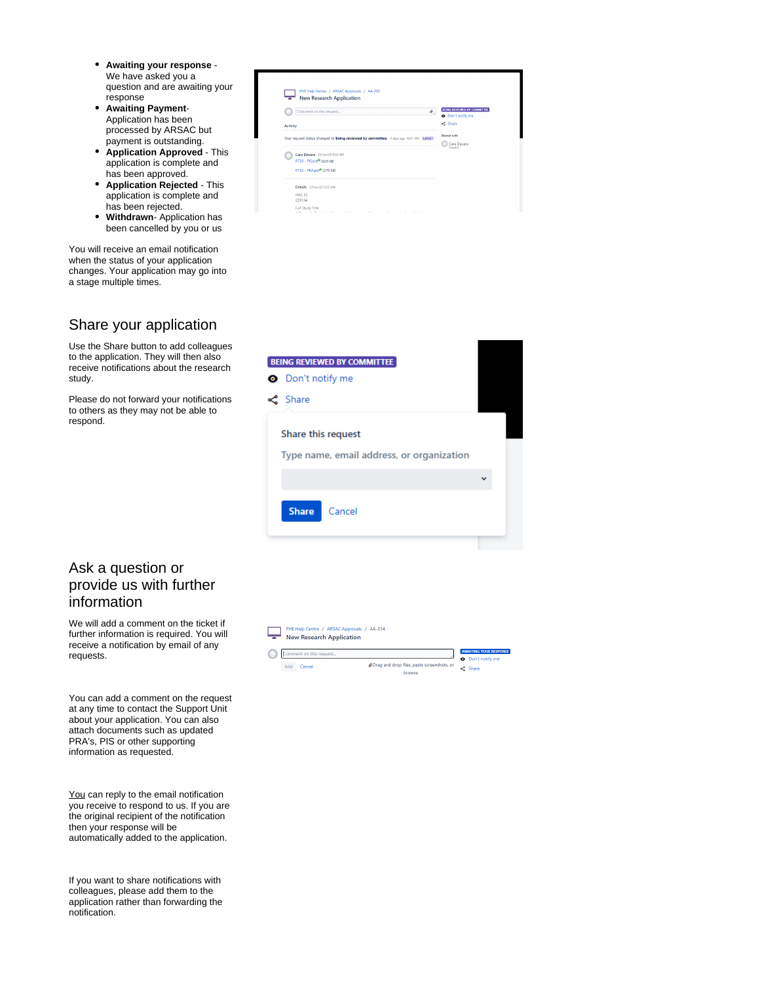- **Awaiting your response**  We have asked you a question and are awaiting your response
- **Awaiting Payment**-Application has been processed by ARSAC but payment is outstanding.
- **Application Approved** This application is complete and has been approved.
- **Application Rejected**  This application is complete and has been rejected.
- **Withdrawn** Application has been cancelled by you or us

You will receive an email notification when the status of your application changes. Your application may go into a stage multiple times.

#### <span id="page-2-0"></span>Share your application

Use the Share button to add colleagues to the application. They will then also receive notifications about the research study.

Please do not forward your notifications to others as they may not be able to respond.

| Comment on this request<br>o                                                           | <b>BEING REVIEWED BY COMMITTEE</b><br>O Don't notify me |
|----------------------------------------------------------------------------------------|---------------------------------------------------------|
| Activity                                                                               | <<<<<<<<<<br>Shared with<br>Cara Devare<br>Creator      |
| Your request status changed to Being reviewed by committee. 4 days ago 10:51 AM LATEST |                                                         |
| Cara Devare 22/Jun/20 9:25 AM                                                          |                                                         |
| R733 - PIS.pdf <sup>®</sup> (329 kB)                                                   |                                                         |
| R733 - PRA.pdf <sup>®</sup> (276 kB)                                                   |                                                         |
| Details 22/Jun/20 9:25 AM                                                              |                                                         |
| <b>IRAS ID</b><br>229134                                                               |                                                         |
|                                                                                        |                                                         |



## <span id="page-2-1"></span>Ask a question or provide us with further information

We will add a comment on the ticket if further information is required. You will receive a notification by email of any requests.

You can add a comment on the request at any time to contact the Support Unit about your application. You can also attach documents such as updated PRA's, PIS or other supporting information as requested.

You can reply to the email notification you receive to respond to us. If you are the original recipient of the notification then your response will be automatically added to the application.

If you want to share notifications with colleagues, please add them to the application rather than forwarding the notification.

#### **PHE Help Centre / ARSAC Annrovals / AA-314** New Research Application **AWAIT** Comment on this request...  $\overline{\phantom{a}}$ O Don't notify me ⊕ Drag and drop files, paste screenshots, or → Share Add Cancel